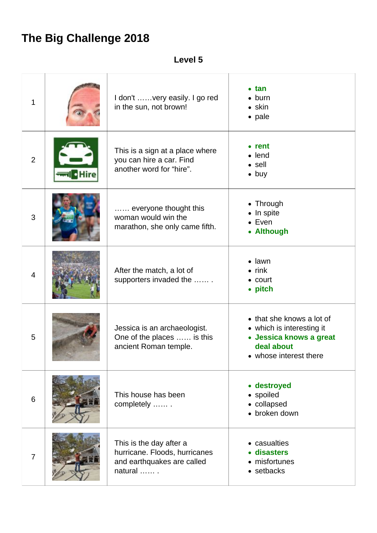## **The Big Challenge 2018**

## **Level 5**

| 1              | I don't  very easily. I go red<br>in the sun, not brown!                                             | $\bullet$ tan<br>$\bullet$ burn<br>$\bullet$ skin<br>• pale                                                               |
|----------------|------------------------------------------------------------------------------------------------------|---------------------------------------------------------------------------------------------------------------------------|
| $\overline{2}$ | This is a sign at a place where<br>you can hire a car. Find<br>another word for "hire".              | $\bullet$ rent<br>$\bullet$ lend<br>$\bullet$ sell<br>$\bullet$ buy                                                       |
| 3              | everyone thought this<br>woman would win the<br>marathon, she only came fifth.                       | • Through<br>• In spite<br>$\bullet$ Even<br>• Although                                                                   |
| $\overline{4}$ | After the match, a lot of<br>supporters invaded the                                                  | $\bullet$ lawn<br>$\bullet$ rink<br>$\bullet$ court<br>• pitch                                                            |
| 5              | Jessica is an archaeologist.<br>One of the places  is this<br>ancient Roman temple.                  | • that she knows a lot of<br>• which is interesting it<br>• Jessica knows a great<br>deal about<br>• whose interest there |
| 6              | This house has been<br>completely                                                                    | • destroyed<br>• spoiled<br>• collapsed<br>• broken down                                                                  |
| $\overline{7}$ | This is the day after a<br>hurricane. Floods, hurricanes<br>and earthquakes are called<br>natural  . | • casualties<br>· disasters<br>• misfortunes<br>• setbacks                                                                |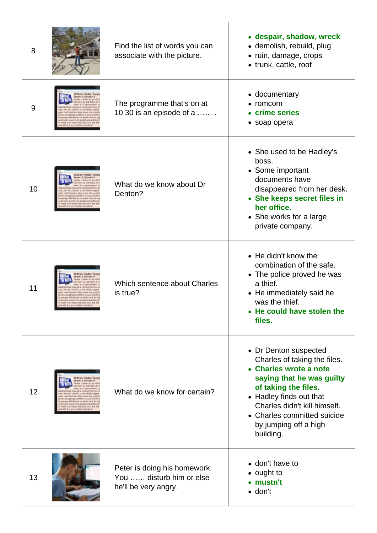| 8  |                                                                                                          | Find the list of words you can<br>associate with the picture.                    | • despair, shadow, wreck<br>· demolish, rebuild, plug<br>• ruin, damage, crops<br>• trunk, cattle, roof                                                                                                                                                              |
|----|----------------------------------------------------------------------------------------------------------|----------------------------------------------------------------------------------|----------------------------------------------------------------------------------------------------------------------------------------------------------------------------------------------------------------------------------------------------------------------|
| 9  | Isson 2, Ealspea<br>64 M Mic postalt and w<br>pervased-shut case. But els<br>is go to Hadley to find ou  | The programme that's on at<br>10.30 is an episode of a $\dots$ .                 | • documentary<br>$\bullet$ romcom<br>• crime series<br>• soap opera                                                                                                                                                                                                  |
| 10 | To found there is no area four<br>and shot case. But<br>it is go to Hadley to find a                     | What do we know about Dr<br>Denton?                                              | • She used to be Hadley's<br>boss.<br>• Some important<br>documents have<br>disappeared from her desk.<br>• She keeps secret files in<br>her office.<br>• She works for a large<br>private company.                                                                  |
| 11 | 400 lost to his death from his<br>ficured to his poster, and written I<br>an open-and-shut case. But its | Which sentence about Charles<br>is true?                                         | $\bullet$ He didn't know the<br>combination of the safe.<br>• The police proved he was<br>a thief.<br>• He immediately said he<br>was the thief.<br>• He could have stolen the<br>files.                                                                             |
| 12 | D.30 pm<br>are with 1 big and throw<br>an open-and-shut case. But<br>in it as to Hadley to find a        | What do we know for certain?                                                     | • Dr Denton suspected<br>Charles of taking the files.<br>• Charles wrote a note<br>saying that he was guilty<br>of taking the files.<br>• Hadley finds out that<br>Charles didn't kill himself.<br>• Charles committed suicide<br>by jumping off a high<br>building. |
| 13 |                                                                                                          | Peter is doing his homework.<br>You  disturb him or else<br>he'll be very angry. | • don't have to<br>• ought to<br>• mustn't<br>$\bullet$ don't                                                                                                                                                                                                        |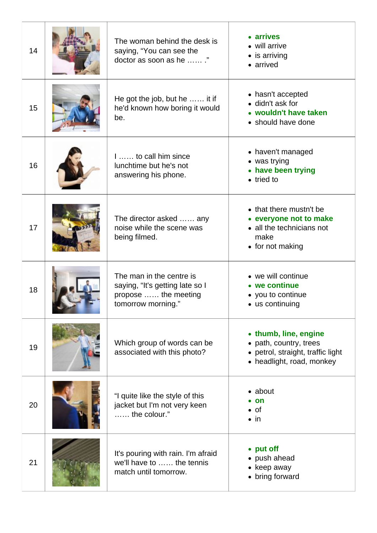| 14 | The woman behind the desk is<br>saying, "You can see the<br>doctor as soon as he "                        | • arrives<br>• will arrive<br>$\bullet$ is arriving<br>• arrived                                                  |
|----|-----------------------------------------------------------------------------------------------------------|-------------------------------------------------------------------------------------------------------------------|
| 15 | He got the job, but he  it if<br>he'd known how boring it would<br>be.                                    | • hasn't accepted<br>• didn't ask for<br>• wouldn't have taken<br>• should have done                              |
| 16 | 1 to call him since<br>lunchtime but he's not<br>answering his phone.                                     | • haven't managed<br>• was trying<br>• have been trying<br>$\bullet$ tried to                                     |
| 17 | The director asked  any<br>noise while the scene was<br>being filmed.                                     | • that there mustn't be<br>• everyone not to make<br>• all the technicians not<br>make<br>• for not making        |
| 18 | The man in the centre is<br>saying, "It's getting late so I<br>propose  the meeting<br>tomorrow morning." | • we will continue<br>• we continue<br>• you to continue<br>• us continuing                                       |
| 19 | Which group of words can be<br>associated with this photo?                                                | • thumb, line, engine<br>• path, country, trees<br>• petrol, straight, traffic light<br>• headlight, road, monkey |
| 20 | "I quite like the style of this<br>jacket but I'm not very keen<br>$,$ the colour."                       | $\bullet$ about<br>$\bullet$ on<br>$\bullet$ of<br>$\bullet$ in                                                   |
| 21 | It's pouring with rain. I'm afraid<br>we'll have to  the tennis<br>match until tomorrow.                  | • put off<br>• push ahead<br>• keep away<br>• bring forward                                                       |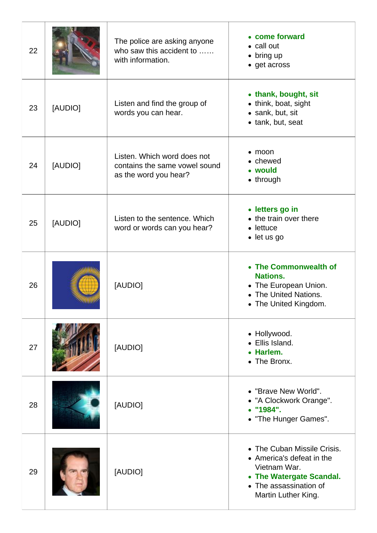| 22 |         | The police are asking anyone<br>who saw this accident to<br>with information.         | • come forward<br>• call out<br>$\bullet$ bring up<br>• get across                                                                                    |
|----|---------|---------------------------------------------------------------------------------------|-------------------------------------------------------------------------------------------------------------------------------------------------------|
| 23 | [AUDIO] | Listen and find the group of<br>words you can hear.                                   | • thank, bought, sit<br>• think, boat, sight<br>• sank, but, sit<br>• tank, but, seat                                                                 |
| 24 | [AUDIO] | Listen. Which word does not<br>contains the same vowel sound<br>as the word you hear? | $\bullet$ moon<br>• chewed<br>• would<br>$\bullet$ through                                                                                            |
| 25 | [AUDIO] | Listen to the sentence. Which<br>word or words can you hear?                          | • letters go in<br>• the train over there<br>$\bullet$ lettuce<br>• let us go                                                                         |
| 26 |         | [AUDIO]                                                                               | • The Commonwealth of<br><b>Nations.</b><br>• The European Union.<br>• The United Nations.<br>• The United Kingdom.                                   |
| 27 |         | [AUDIO]                                                                               | • Hollywood.<br>· Ellis Island.<br>• Harlem.<br>• The Bronx.                                                                                          |
| 28 |         | [AUDIO]                                                                               | • "Brave New World".<br>• "A Clockwork Orange".<br>"1984".<br>• "The Hunger Games".                                                                   |
| 29 |         | [AUDIO]                                                                               | • The Cuban Missile Crisis.<br>• America's defeat in the<br>Vietnam War.<br>• The Watergate Scandal.<br>• The assassination of<br>Martin Luther King. |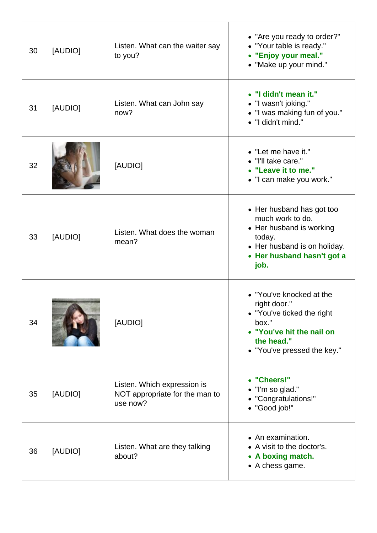| 30 | [AUDIO] | Listen. What can the waiter say<br>to you?                                | • "Are you ready to order?"<br>• "Your table is ready."<br>• "Enjoy your meal."<br>• "Make up your mind."                                                 |
|----|---------|---------------------------------------------------------------------------|-----------------------------------------------------------------------------------------------------------------------------------------------------------|
| 31 | [AUDIO] | Listen. What can John say<br>now?                                         | • "I didn't mean it."<br>• "I wasn't joking."<br>• "I was making fun of you."<br>· "I didn't mind."                                                       |
| 32 |         | [AUDIO]                                                                   | • "Let me have it."<br>• "I'll take care."<br>• "Leave it to me."<br>• "I can make you work."                                                             |
| 33 | [AUDIO] | Listen. What does the woman<br>mean?                                      | • Her husband has got too<br>much work to do.<br>• Her husband is working<br>today.<br>• Her husband is on holiday.<br>• Her husband hasn't got a<br>job. |
| 34 |         | [AUDIO]                                                                   | • "You've knocked at the<br>right door."<br>• "You've ticked the right<br>box."<br>• "You've hit the nail on<br>the head."<br>• "You've pressed the key." |
| 35 | [AUDIO] | Listen. Which expression is<br>NOT appropriate for the man to<br>use now? | • "Cheers!"<br>• "I'm so glad."<br>• "Congratulations!"<br>• "Good job!"                                                                                  |
| 36 | [AUDIO] | Listen. What are they talking<br>about?                                   | • An examination.<br>• A visit to the doctor's.<br>• A boxing match.<br>• A chess game.                                                                   |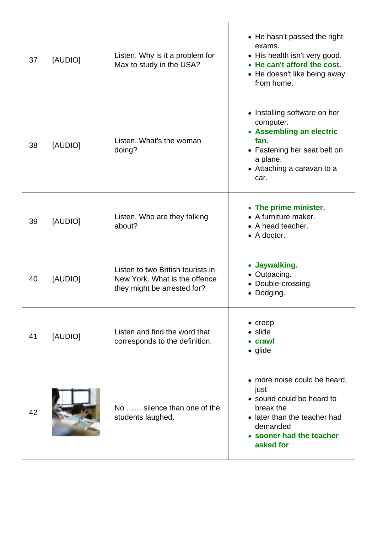| 37 | [AUDIO] | Listen. Why is it a problem for<br>Max to study in the USA?                                       | • He hasn't passed the right<br>exams.<br>• His health isn't very good.<br>• He can't afford the cost.<br>• He doesn't like being away<br>from home.                |
|----|---------|---------------------------------------------------------------------------------------------------|---------------------------------------------------------------------------------------------------------------------------------------------------------------------|
| 38 | [AUDIO] | Listen. What's the woman<br>doing?                                                                | • Installing software on her<br>computer.<br>• Assembling an electric<br>fan.<br>• Fastening her seat belt on<br>a plane.<br>• Attaching a caravan to a<br>car.     |
| 39 | [AUDIO] | Listen. Who are they talking<br>about?                                                            | • The prime minister.<br>• A furniture maker.<br>• A head teacher.<br>$\bullet$ A doctor.                                                                           |
| 40 | [AUDIO] | Listen to two British tourists in<br>New York. What is the offence<br>they might be arrested for? | • Jaywalking.<br>• Outpacing.<br>• Double-crossing.<br>• Dodging.                                                                                                   |
| 41 | [AUDIO] | Listen and find the word that<br>corresponds to the definition.                                   | $\bullet$ creep<br>$\bullet$ slide<br>• crawl<br>$\bullet$ glide                                                                                                    |
| 42 |         | No  silence than one of the<br>students laughed.                                                  | • more noise could be heard,<br>just<br>• sound could be heard to<br>break the<br>• later than the teacher had<br>demanded<br>• sooner had the teacher<br>asked for |